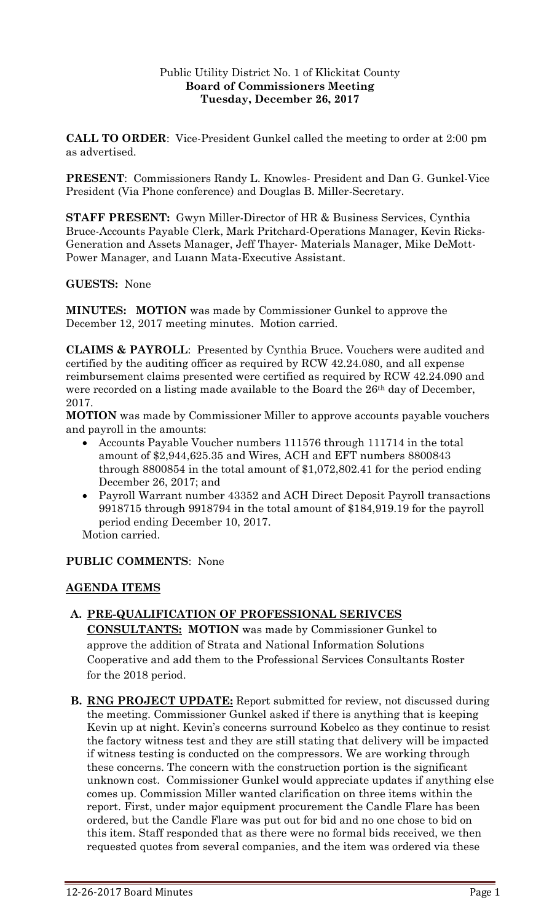## Public Utility District No. 1 of Klickitat County **Board of Commissioners Meeting Tuesday, December 26, 2017**

**CALL TO ORDER**: Vice-President Gunkel called the meeting to order at 2:00 pm as advertised.

**PRESENT**: Commissioners Randy L. Knowles- President and Dan G. Gunkel-Vice President (Via Phone conference) and Douglas B. Miller-Secretary.

**STAFF PRESENT:** Gwyn Miller-Director of HR & Business Services, Cynthia Bruce-Accounts Payable Clerk, Mark Pritchard-Operations Manager, Kevin Ricks-Generation and Assets Manager, Jeff Thayer- Materials Manager, Mike DeMott-Power Manager, and Luann Mata-Executive Assistant.

**GUESTS:** None

**MINUTES: MOTION** was made by Commissioner Gunkel to approve the December 12, 2017 meeting minutes. Motion carried.

**CLAIMS & PAYROLL**: Presented by Cynthia Bruce. Vouchers were audited and certified by the auditing officer as required by RCW 42.24.080, and all expense reimbursement claims presented were certified as required by RCW 42.24.090 and were recorded on a listing made available to the Board the 26<sup>th</sup> day of December, 2017.

**MOTION** was made by Commissioner Miller to approve accounts payable vouchers and payroll in the amounts:

- Accounts Payable Voucher numbers 111576 through 111714 in the total amount of \$2,944,625.35 and Wires, ACH and EFT numbers 8800843 through 8800854 in the total amount of \$1,072,802.41 for the period ending December 26, 2017; and
- Payroll Warrant number 43352 and ACH Direct Deposit Payroll transactions 9918715 through 9918794 in the total amount of \$184,919.19 for the payroll period ending December 10, 2017.

Motion carried.

### **PUBLIC COMMENTS**: None

### **AGENDA ITEMS**

### **A. PRE-QUALIFICATION OF PROFESSIONAL SERIVCES**

**CONSULTANTS: MOTION** was made by Commissioner Gunkel to approve the addition of Strata and National Information Solutions Cooperative and add them to the Professional Services Consultants Roster for the 2018 period.

**B. RNG PROJECT UPDATE:** Report submitted for review, not discussed during the meeting. Commissioner Gunkel asked if there is anything that is keeping Kevin up at night. Kevin's concerns surround Kobelco as they continue to resist the factory witness test and they are still stating that delivery will be impacted if witness testing is conducted on the compressors. We are working through these concerns. The concern with the construction portion is the significant unknown cost. Commissioner Gunkel would appreciate updates if anything else comes up. Commission Miller wanted clarification on three items within the report. First, under major equipment procurement the Candle Flare has been ordered, but the Candle Flare was put out for bid and no one chose to bid on this item. Staff responded that as there were no formal bids received, we then requested quotes from several companies, and the item was ordered via these